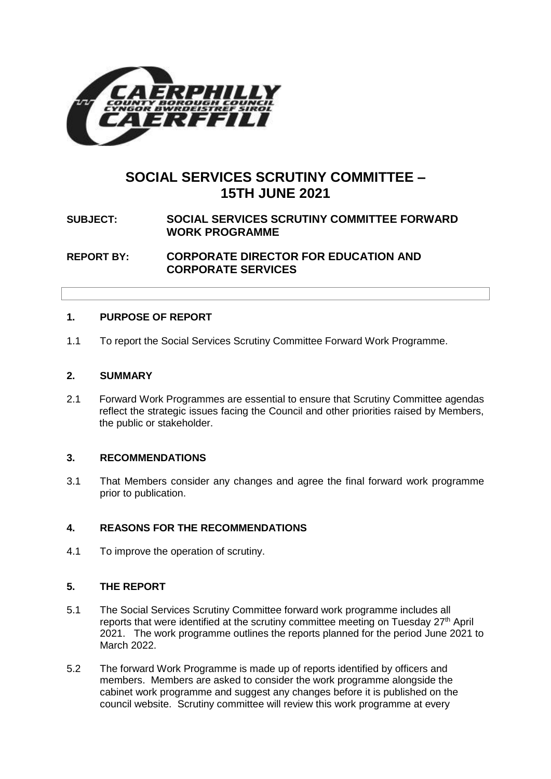

# **SOCIAL SERVICES SCRUTINY COMMITTEE – 15TH JUNE 2021**

# **SUBJECT: SOCIAL SERVICES SCRUTINY COMMITTEE FORWARD WORK PROGRAMME**

**REPORT BY: CORPORATE DIRECTOR FOR EDUCATION AND CORPORATE SERVICES**

# **1. PURPOSE OF REPORT**

1.1 To report the Social Services Scrutiny Committee Forward Work Programme.

#### **2. SUMMARY**

2.1 Forward Work Programmes are essential to ensure that Scrutiny Committee agendas reflect the strategic issues facing the Council and other priorities raised by Members, the public or stakeholder.

# **3. RECOMMENDATIONS**

3.1 That Members consider any changes and agree the final forward work programme prior to publication.

# **4. REASONS FOR THE RECOMMENDATIONS**

4.1 To improve the operation of scrutiny.

# **5. THE REPORT**

- 5.1 The Social Services Scrutiny Committee forward work programme includes all reports that were identified at the scrutiny committee meeting on Tuesday 27<sup>th</sup> April 2021. The work programme outlines the reports planned for the period June 2021 to March 2022.
- 5.2 The forward Work Programme is made up of reports identified by officers and members. Members are asked to consider the work programme alongside the cabinet work programme and suggest any changes before it is published on the council website. Scrutiny committee will review this work programme at every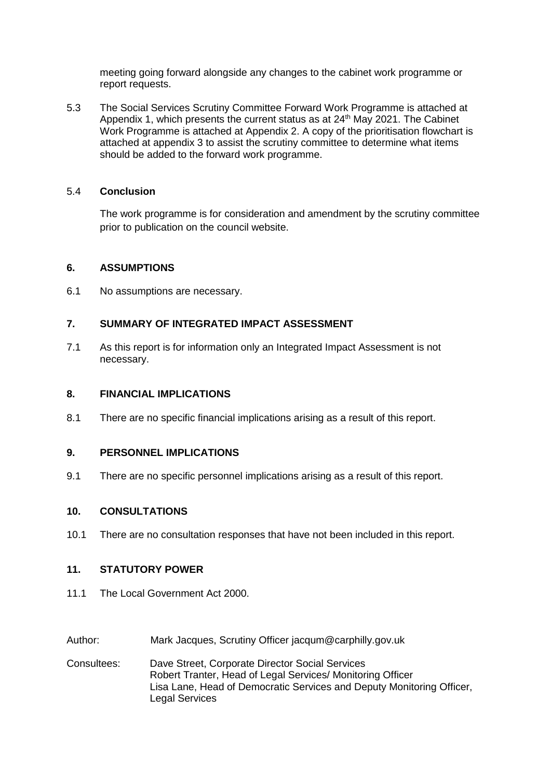meeting going forward alongside any changes to the cabinet work programme or report requests.

5.3 The Social Services Scrutiny Committee Forward Work Programme is attached at Appendix 1, which presents the current status as at 24<sup>th</sup> May 2021. The Cabinet Work Programme is attached at Appendix 2. A copy of the prioritisation flowchart is attached at appendix 3 to assist the scrutiny committee to determine what items should be added to the forward work programme.

#### 5.4 **Conclusion**

The work programme is for consideration and amendment by the scrutiny committee prior to publication on the council website.

#### **6. ASSUMPTIONS**

6.1 No assumptions are necessary.

# **7. SUMMARY OF INTEGRATED IMPACT ASSESSMENT**

7.1 As this report is for information only an Integrated Impact Assessment is not necessary.

### **8. FINANCIAL IMPLICATIONS**

8.1 There are no specific financial implications arising as a result of this report.

#### **9. PERSONNEL IMPLICATIONS**

9.1 There are no specific personnel implications arising as a result of this report.

#### **10. CONSULTATIONS**

10.1 There are no consultation responses that have not been included in this report.

# **11. STATUTORY POWER**

- 11.1 The Local Government Act 2000.
- Author: Mark Jacques, Scrutiny Officer jacqum@carphilly.gov.uk
- Consultees: Dave Street, Corporate Director Social Services Robert Tranter, Head of Legal Services/ Monitoring Officer Lisa Lane, Head of Democratic Services and Deputy Monitoring Officer, Legal Services